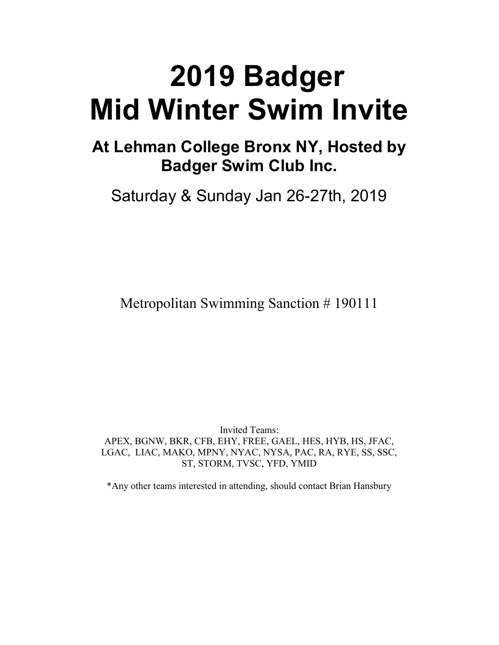# 2019 Badger Mid Winter Swim Invite

# At Lehman College Bronx NY, Hosted by Badger Swim Club Inc.

Saturday & Sunday Jan 26-27th, 2019

Metropolitan Swimming Sanction # 190111

Invited Teams: APEX, BGNW, BKR, CFB, EHY, FREE, GAEL, HES, HYB, HS, JFAC, LGAC, LIAC, MAKO, MPNY, NYAC, NYSA, PAC, RA, RYE, SS, SSC, ST, STORM, TVSC, YFD, YMID

\*Any other teams interested in attending, should contact Brian Hansbury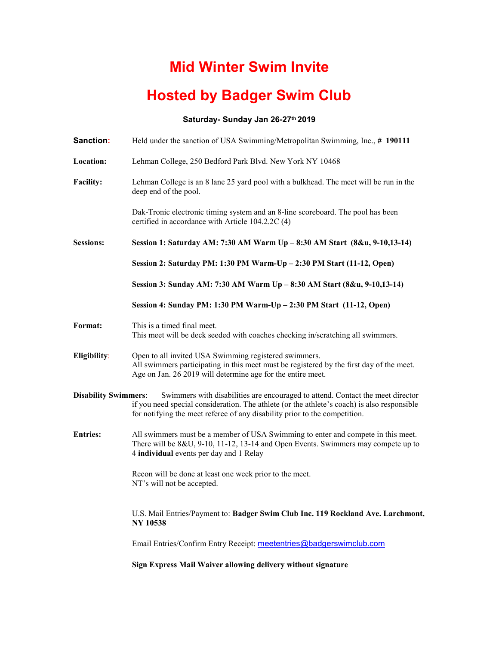# Mid Winter Swim Invite

# Hosted by Badger Swim Club

### Saturday- Sunday Jan 26-27<sup>th</sup> 2019

| Sanction:                   | Held under the sanction of USA Swimming/Metropolitan Swimming, Inc., # 190111                                                                                                                                                                               |  |  |
|-----------------------------|-------------------------------------------------------------------------------------------------------------------------------------------------------------------------------------------------------------------------------------------------------------|--|--|
| Location:                   | Lehman College, 250 Bedford Park Blvd. New York NY 10468                                                                                                                                                                                                    |  |  |
| <b>Facility:</b>            | Lehman College is an 8 lane 25 yard pool with a bulkhead. The meet will be run in the<br>deep end of the pool.                                                                                                                                              |  |  |
|                             | Dak-Tronic electronic timing system and an 8-line scoreboard. The pool has been<br>certified in accordance with Article 104.2.2C (4)                                                                                                                        |  |  |
| <b>Sessions:</b>            | Session 1: Saturday AM: 7:30 AM Warm Up – 8:30 AM Start (8&u, 9-10,13-14)                                                                                                                                                                                   |  |  |
|                             | Session 2: Saturday PM: 1:30 PM Warm-Up - 2:30 PM Start (11-12, Open)                                                                                                                                                                                       |  |  |
|                             | Session 3: Sunday AM: 7:30 AM Warm Up - 8:30 AM Start (8&u, 9-10,13-14)                                                                                                                                                                                     |  |  |
|                             | Session 4: Sunday PM: 1:30 PM Warm-Up – 2:30 PM Start (11-12, Open)                                                                                                                                                                                         |  |  |
| Format:                     | This is a timed final meet.<br>This meet will be deck seeded with coaches checking in/scratching all swimmers.                                                                                                                                              |  |  |
| Eligibility:                | Open to all invited USA Swimming registered swimmers.<br>All swimmers participating in this meet must be registered by the first day of the meet.<br>Age on Jan. 26 2019 will determine age for the entire meet.                                            |  |  |
| <b>Disability Swimmers:</b> | Swimmers with disabilities are encouraged to attend. Contact the meet director<br>if you need special consideration. The athlete (or the athlete's coach) is also responsible<br>for notifying the meet referee of any disability prior to the competition. |  |  |
| <b>Entries:</b>             | All swimmers must be a member of USA Swimming to enter and compete in this meet.<br>There will be 8&U, 9-10, 11-12, 13-14 and Open Events. Swimmers may compete up to<br>4 individual events per day and 1 Relay                                            |  |  |
|                             | Recon will be done at least one week prior to the meet.<br>NT's will not be accepted.                                                                                                                                                                       |  |  |
|                             | U.S. Mail Entries/Payment to: Badger Swim Club Inc. 119 Rockland Ave. Larchmont,<br><b>NY 10538</b>                                                                                                                                                         |  |  |
|                             | Email Entries/Confirm Entry Receipt: meetentries@badgerswimclub.com                                                                                                                                                                                         |  |  |
|                             | Sign Express Mail Waiver allowing delivery without signature                                                                                                                                                                                                |  |  |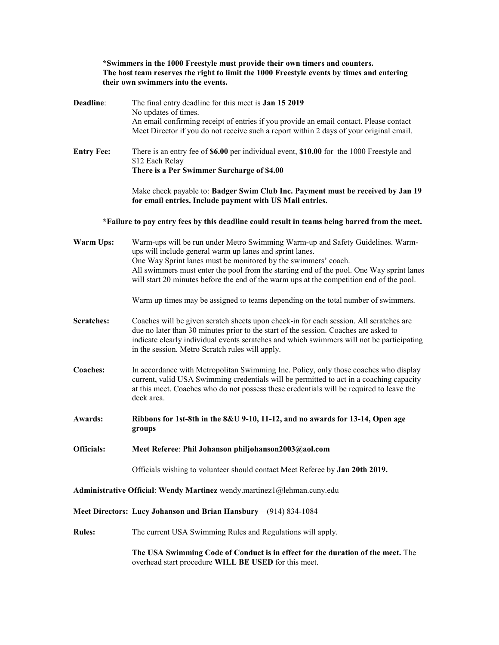#### \*Swimmers in the 1000 Freestyle must provide their own timers and counters. The host team reserves the right to limit the 1000 Freestyle events by times and entering their own swimmers into the events.

| Deadline:         | The final entry deadline for this meet is Jan 15 2019<br>No updates of times.                                                                                                                                                                                                                                                                                                                        |
|-------------------|------------------------------------------------------------------------------------------------------------------------------------------------------------------------------------------------------------------------------------------------------------------------------------------------------------------------------------------------------------------------------------------------------|
|                   | An email confirming receipt of entries if you provide an email contact. Please contact<br>Meet Director if you do not receive such a report within 2 days of your original email.                                                                                                                                                                                                                    |
| <b>Entry Fee:</b> | There is an entry fee of \$6.00 per individual event, \$10.00 for the 1000 Freestyle and<br>\$12 Each Relay                                                                                                                                                                                                                                                                                          |
|                   | There is a Per Swimmer Surcharge of \$4.00                                                                                                                                                                                                                                                                                                                                                           |
|                   | Make check payable to: Badger Swim Club Inc. Payment must be received by Jan 19<br>for email entries. Include payment with US Mail entries.                                                                                                                                                                                                                                                          |
|                   | *Failure to pay entry fees by this deadline could result in teams being barred from the meet.                                                                                                                                                                                                                                                                                                        |
| Warm Ups:         | Warm-ups will be run under Metro Swimming Warm-up and Safety Guidelines. Warm-<br>ups will include general warm up lanes and sprint lanes.<br>One Way Sprint lanes must be monitored by the swimmers' coach.<br>All swimmers must enter the pool from the starting end of the pool. One Way sprint lanes<br>will start 20 minutes before the end of the warm ups at the competition end of the pool. |
|                   | Warm up times may be assigned to teams depending on the total number of swimmers.                                                                                                                                                                                                                                                                                                                    |
| <b>Scratches:</b> | Coaches will be given scratch sheets upon check-in for each session. All scratches are<br>due no later than 30 minutes prior to the start of the session. Coaches are asked to<br>indicate clearly individual events scratches and which swimmers will not be participating<br>in the session. Metro Scratch rules will apply.                                                                       |
| <b>Coaches:</b>   | In accordance with Metropolitan Swimming Inc. Policy, only those coaches who display<br>current, valid USA Swimming credentials will be permitted to act in a coaching capacity<br>at this meet. Coaches who do not possess these credentials will be required to leave the<br>deck area.                                                                                                            |
| <b>Awards:</b>    | Ribbons for 1st-8th in the $8&U 9-10$ , 11-12, and no awards for 13-14, Open age<br>groups                                                                                                                                                                                                                                                                                                           |
| Officials:        | Meet Referee: Phil Johanson philjohanson2003@aol.com                                                                                                                                                                                                                                                                                                                                                 |
|                   | Officials wishing to volunteer should contact Meet Referee by Jan 20th 2019.                                                                                                                                                                                                                                                                                                                         |
|                   | Administrative Official: Wendy Martinez wendy.martinezl@lehman.cuny.edu                                                                                                                                                                                                                                                                                                                              |
|                   | Meet Directors: Lucy Johanson and Brian Hansbury - (914) 834-1084                                                                                                                                                                                                                                                                                                                                    |

Rules: The current USA Swimming Rules and Regulations will apply.

The USA Swimming Code of Conduct is in effect for the duration of the meet. The overhead start procedure WILL BE USED for this meet.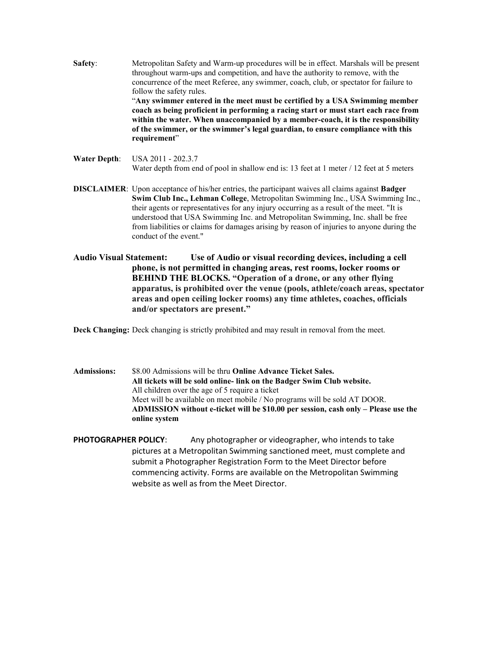- Safety: Metropolitan Safety and Warm-up procedures will be in effect. Marshals will be present throughout warm-ups and competition, and have the authority to remove, with the concurrence of the meet Referee, any swimmer, coach, club, or spectator for failure to follow the safety rules. "Any swimmer entered in the meet must be certified by a USA Swimming member coach as being proficient in performing a racing start or must start each race from within the water. When unaccompanied by a member-coach, it is the responsibility of the swimmer, or the swimmer's legal guardian, to ensure compliance with this requirement"
- Water Depth: USA 2011 202.3.7 Water depth from end of pool in shallow end is: 13 feet at 1 meter / 12 feet at 5 meters
- DISCLAIMER: Upon acceptance of his/her entries, the participant waives all claims against Badger Swim Club Inc., Lehman College, Metropolitan Swimming Inc., USA Swimming Inc., their agents or representatives for any injury occurring as a result of the meet. "It is understood that USA Swimming Inc. and Metropolitan Swimming, Inc. shall be free from liabilities or claims for damages arising by reason of injuries to anyone during the conduct of the event."
- Audio Visual Statement: Use of Audio or visual recording devices, including a cell phone, is not permitted in changing areas, rest rooms, locker rooms or BEHIND THE BLOCKS. "Operation of a drone, or any other flying apparatus, is prohibited over the venue (pools, athlete/coach areas, spectator areas and open ceiling locker rooms) any time athletes, coaches, officials and/or spectators are present."

Deck Changing: Deck changing is strictly prohibited and may result in removal from the meet.

Admissions: \$8.00 Admissions will be thru Online Advance Ticket Sales. All tickets will be sold online- link on the Badger Swim Club website. All children over the age of 5 require a ticket Meet will be available on meet mobile / No programs will be sold AT DOOR. ADMISSION without e-ticket will be \$10.00 per session, cash only – Please use the online system

PHOTOGRAPHER POLICY: Any photographer or videographer, who intends to take pictures at a Metropolitan Swimming sanctioned meet, must complete and submit a Photographer Registration Form to the Meet Director before commencing activity. Forms are available on the Metropolitan Swimming website as well as from the Meet Director.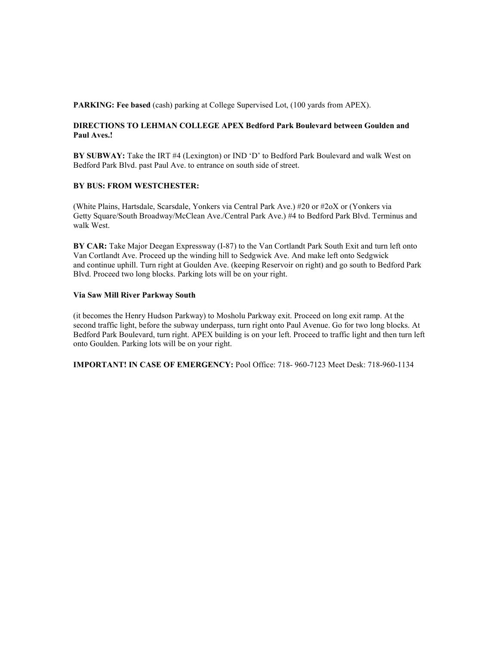PARKING: Fee based (cash) parking at College Supervised Lot, (100 yards from APEX).

#### DIRECTIONS TO LEHMAN COLLEGE APEX Bedford Park Boulevard between Goulden and Paul Aves.!

BY SUBWAY: Take the IRT #4 (Lexington) or IND 'D' to Bedford Park Boulevard and walk West on Bedford Park Blvd. past Paul Ave. to entrance on south side of street.

#### BY BUS: FROM WESTCHESTER:

(White Plains, Hartsdale, Scarsdale, Yonkers via Central Park Ave.) #20 or #2oX or (Yonkers via Getty Square/South Broadway/McClean Ave./Central Park Ave.) #4 to Bedford Park Blvd. Terminus and walk West.

BY CAR: Take Major Deegan Expressway (I-87) to the Van Cortlandt Park South Exit and turn left onto Van Cortlandt Ave. Proceed up the winding hill to Sedgwick Ave. And make left onto Sedgwick and continue uphill. Turn right at Goulden Ave. (keeping Reservoir on right) and go south to Bedford Park Blvd. Proceed two long blocks. Parking lots will be on your right.

#### Via Saw Mill River Parkway South

(it becomes the Henry Hudson Parkway) to Mosholu Parkway exit. Proceed on long exit ramp. At the second traffic light, before the subway underpass, turn right onto Paul Avenue. Go for two long blocks. At Bedford Park Boulevard, turn right. APEX building is on your left. Proceed to traffic light and then turn left onto Goulden. Parking lots will be on your right.

IMPORTANT! IN CASE OF EMERGENCY: Pool Office: 718- 960-7123 Meet Desk: 718-960-1134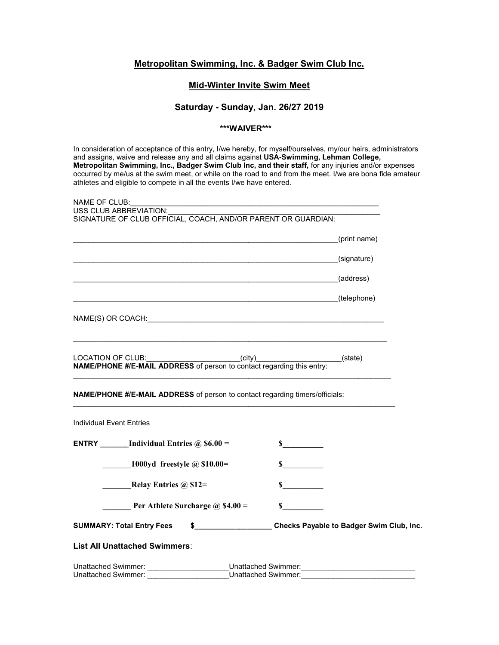#### Metropolitan Swimming, Inc. & Badger Swim Club Inc.

#### Mid-Winter Invite Swim Meet

#### Saturday - Sunday, Jan. 26/27 2019

#### \*\*\*WAIVER\*\*\*

In consideration of acceptance of this entry, I/we hereby, for myself/ourselves, my/our heirs, administrators and assigns, waive and release any and all claims against **USA-Swimming, Lehman College,** Metropolitan Swimming, Inc., Badger Swim Club Inc, and their staff, for any injuries and/or expenses occurred by me/us at the swim meet, or while on the road to and from the meet. I/we are bona fide amateur athletes and eligible to compete in all the events I/we have entered.

| NAME OF CLUB:                                                                                                                             |                                          |  |  |
|-------------------------------------------------------------------------------------------------------------------------------------------|------------------------------------------|--|--|
| USS CLUB ABBREVIATION:<br>SIGNATURE OF CLUB OFFICIAL, COACH, AND/OR PARENT OR GUARDIAN:                                                   |                                          |  |  |
|                                                                                                                                           |                                          |  |  |
|                                                                                                                                           | (print name)                             |  |  |
|                                                                                                                                           |                                          |  |  |
|                                                                                                                                           | (signature)                              |  |  |
| <u> 1980 - Jan Barat, amerikan bahasa di sebagai kecamatan di sebagai kecamatan di sebagai kecamatan di sebagai k</u>                     | (address)                                |  |  |
|                                                                                                                                           |                                          |  |  |
|                                                                                                                                           | (telephone)                              |  |  |
|                                                                                                                                           |                                          |  |  |
|                                                                                                                                           |                                          |  |  |
|                                                                                                                                           |                                          |  |  |
|                                                                                                                                           |                                          |  |  |
| LOCATION OF CLUB:<br>$\overline{\phantom{a}}$ (city)<br>(state)<br>NAME/PHONE #/E-MAIL ADDRESS of person to contact regarding this entry: |                                          |  |  |
|                                                                                                                                           |                                          |  |  |
| NAME/PHONE #/E-MAIL ADDRESS of person to contact regarding timers/officials:                                                              |                                          |  |  |
| <b>Individual Event Entries</b>                                                                                                           |                                          |  |  |
| <b>ENTRY</b> _______ Individual Entries $\hat{a}$ \$6.00 =                                                                                | $\mathbf S$                              |  |  |
| 1000yd freestyle $\omega$ \$10.00=                                                                                                        | $\mathbf S$                              |  |  |
|                                                                                                                                           |                                          |  |  |
| Relay Entries @ \$12=                                                                                                                     | \$                                       |  |  |
| Per Athlete Surcharge $\omega$ \$4.00 =                                                                                                   | \$                                       |  |  |
| $\sim$<br><b>SUMMARY: Total Entry Fees</b>                                                                                                | Checks Payable to Badger Swim Club, Inc. |  |  |
| <b>List All Unattached Swimmers:</b>                                                                                                      |                                          |  |  |
| Unattached Swimmer:<br>the company of the company of the                                                                                  | Unattached Swimmer:                      |  |  |
| Unattached Swimmer:<br>Unattached Swimmer:                                                                                                |                                          |  |  |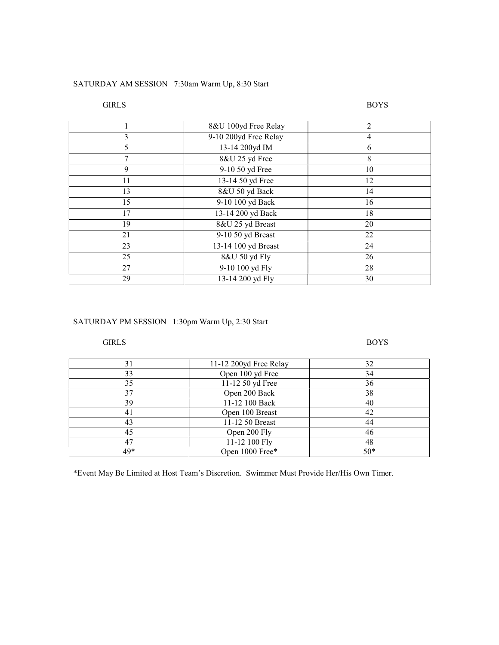### SATURDAY AM SESSION 7:30am Warm Up, 8:30 Start

#### GIRLS BOYS

|    | 8&U 100yd Free Relay  | 2  |
|----|-----------------------|----|
| 3  | 9-10 200yd Free Relay | 4  |
| 5. | 13-14 200yd IM        | 6  |
| 7  | 8&U 25 yd Free        | 8  |
| 9  | 9-10 50 yd Free       | 10 |
| 11 | 13-14 50 yd Free      | 12 |
| 13 | 8&U 50 yd Back        | 14 |
| 15 | 9-10 100 yd Back      | 16 |
| 17 | 13-14 200 yd Back     | 18 |
| 19 | 8&U 25 yd Breast      | 20 |
| 21 | 9-10 50 yd Breast     | 22 |
| 23 | 13-14 100 yd Breast   | 24 |
| 25 | 8&U 50 yd Fly         | 26 |
| 27 | 9-10 100 yd Fly       | 28 |
| 29 | 13-14 200 yd Fly      | 30 |

### SATURDAY PM SESSION 1:30pm Warm Up, 2:30 Start

#### GIRLS BOYS

| 31  | 11-12 200yd Free Relay | 32    |
|-----|------------------------|-------|
| 33  | Open 100 yd Free       | 34    |
| 35  | 11-12 50 yd Free       | 36    |
| 37  | Open 200 Back          | 38    |
| 39  | 11-12 100 Back         | 40    |
| 41  | Open 100 Breast        | 42    |
| 43  | 11-12 50 Breast        | 44    |
| 45  | Open 200 Fly           | 46    |
| 47  | 11-12 100 Fly          | 48    |
| 49* | Open 1000 Free*        | $50*$ |

\*Event May Be Limited at Host Team's Discretion. Swimmer Must Provide Her/His Own Timer.